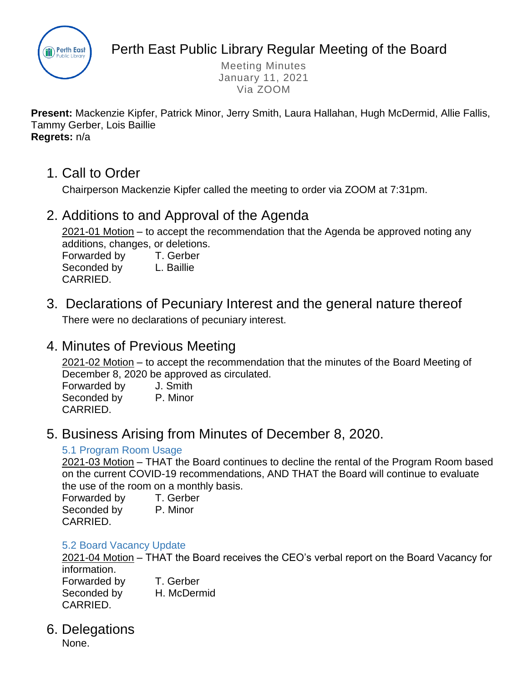

Perth East Public Library Regular Meeting of the Board

Meeting Minutes January 11, 2021 Via ZOOM

**Present:** Mackenzie Kipfer, Patrick Minor, Jerry Smith, Laura Hallahan, Hugh McDermid, Allie Fallis, Tammy Gerber, Lois Baillie **Regrets:** n/a

1. Call to Order

Chairperson Mackenzie Kipfer called the meeting to order via ZOOM at 7:31pm.

# 2. Additions to and Approval of the Agenda

2021-01 Motion – to accept the recommendation that the Agenda be approved noting any additions, changes, or deletions.

Forwarded by T. Gerber Seconded by L. Baillie CARRIED.

- 
- 3. Declarations of Pecuniary Interest and the general nature thereof There were no declarations of pecuniary interest.

# 4. Minutes of Previous Meeting

2021-02 Motion – to accept the recommendation that the minutes of the Board Meeting of December 8, 2020 be approved as circulated.

Forwarded by J. Smith Seconded by P. Minor CARRIED.

# 5. Business Arising from Minutes of December 8, 2020.

## 5.1 Program Room Usage

2021-03 Motion – THAT the Board continues to decline the rental of the Program Room based on the current COVID-19 recommendations, AND THAT the Board will continue to evaluate the use of the room on a monthly basis.

Forwarded by T. Gerber Seconded by P. Minor CARRIED.

### 5.2 Board Vacancy Update

2021-04 Motion – THAT the Board receives the CEO's verbal report on the Board Vacancy for information.

Forwarded by T. Gerber Seconded by H. McDermid CARRIED.

## 6. Delegations

None.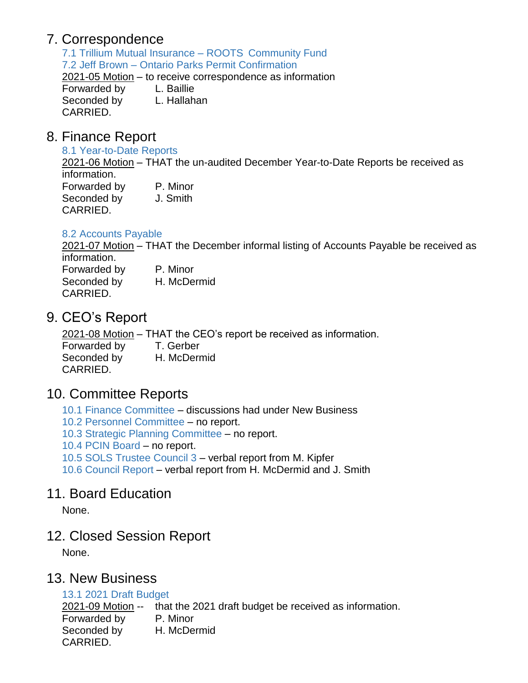# 7. Correspondence

7.1 Trillium Mutual Insurance – ROOTS Community Fund 7.2 Jeff Brown – Ontario Parks Permit Confirmation 2021-05 Motion – to receive correspondence as information Forwarded by L. Baillie Seconded by L. Hallahan CARRIED.

## 8. Finance Report

#### 8.1 Year-to-Date Reports

2021-06 Motion – THAT the un-audited December Year-to-Date Reports be received as information.

| Forwarded by | P. Minor |
|--------------|----------|
| Seconded by  | J. Smith |
| CARRIED.     |          |

### 8.2 Accounts Payable

2021-07 Motion – THAT the December informal listing of Accounts Payable be received as information.

Forwarded by P. Minor Seconded by H. McDermid CARRIED.

# 9. CEO's Report

2021-08 Motion – THAT the CEO's report be received as information.

Forwarded by T. Gerber Seconded by H. McDermid CARRIED.

# 10. Committee Reports

- 10.1 Finance Committee discussions had under New Business
- 10.2 Personnel Committee no report.
- 10.3 Strategic Planning Committee no report.
- 10.4 PCIN Board no report.
- 10.5 SOLS Trustee Council 3 verbal report from M. Kipfer
- 10.6 Council Report verbal report from H. McDermid and J. Smith

## 11. Board Education

None.

## 12. Closed Session Report

None.

## 13. New Business

### 13.1 2021 Draft Budget

2021-09 Motion -- that the 2021 draft budget be received as information.

Forwarded by P. Minor

Seconded by H. McDermid CARRIED.